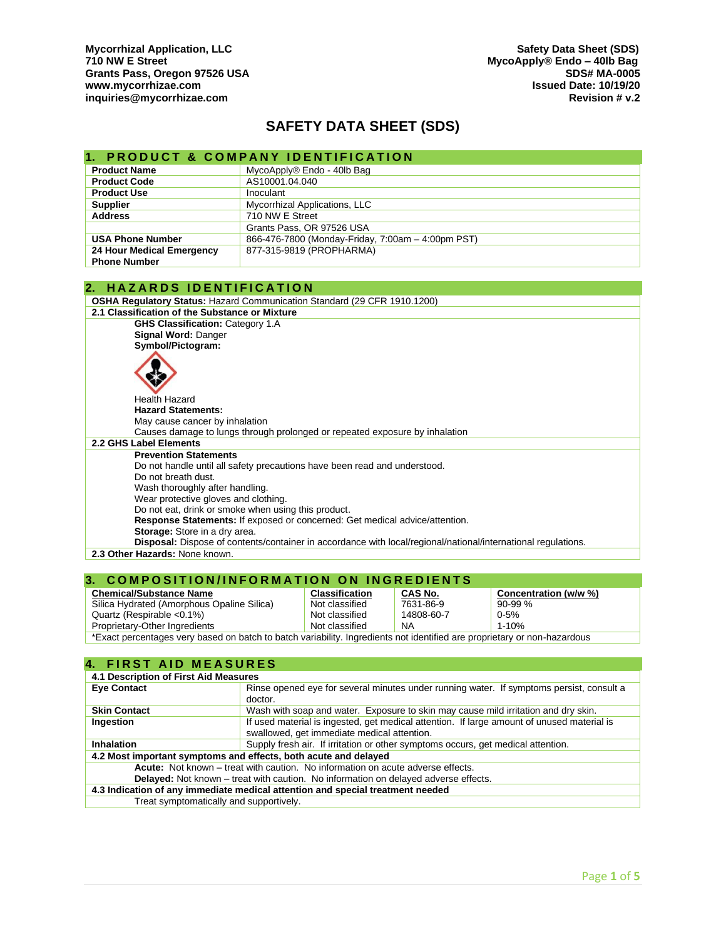Mycorrhizal Application, LLC **Safety Data Sheet (SDS)**<br>T10 NW E Street **SUS** Safety Data Sheet (SDS) Grants Pass, Oregon 97526 USA المستخدم المستخدم المستخدم المستخدم المستخدم المستخدم المستخدم المستخدم المستخدم<br>Issued Date: 10/19/20 **[www.mycorrhizae.com](http://www.mycorrhizae.com/) Issued Date: 10/19/20 [inquiries@mycorrhizae.com](mailto:inquiries@mycorrhizae.com) Revision # v.2** 

# **SAFETY DATA SHEET (SDS)**

|                                                                             | <b>PRODUCT &amp; COMPANY IDENTIFICATION</b>                                                                   |  |
|-----------------------------------------------------------------------------|---------------------------------------------------------------------------------------------------------------|--|
| <b>Product Name</b>                                                         | MycoApply® Endo - 40lb Bag                                                                                    |  |
| <b>Product Code</b>                                                         | AS10001.04.040                                                                                                |  |
| <b>Product Use</b>                                                          | Inoculant                                                                                                     |  |
| <b>Supplier</b>                                                             | Mycorrhizal Applications, LLC                                                                                 |  |
| <b>Address</b>                                                              | 710 NW E Street                                                                                               |  |
|                                                                             | Grants Pass, OR 97526 USA                                                                                     |  |
| <b>USA Phone Number</b>                                                     | 866-476-7800 (Monday-Friday, 7:00am - 4:00pm PST)                                                             |  |
| 24 Hour Medical Emergency                                                   | 877-315-9819 (PROPHARMA)                                                                                      |  |
| <b>Phone Number</b>                                                         |                                                                                                               |  |
|                                                                             |                                                                                                               |  |
| <b>HAZARDS IDENTIFICATION</b><br>2.                                         |                                                                                                               |  |
|                                                                             | <b>OSHA Requiatory Status: Hazard Communication Standard (29 CFR 1910.1200)</b>                               |  |
| 2.1 Classification of the Substance or Mixture                              |                                                                                                               |  |
| <b>GHS Classification: Category 1.A</b>                                     |                                                                                                               |  |
| Signal Word: Danger                                                         |                                                                                                               |  |
| Symbol/Pictogram:                                                           |                                                                                                               |  |
|                                                                             |                                                                                                               |  |
|                                                                             |                                                                                                               |  |
| <b>Health Hazard</b>                                                        |                                                                                                               |  |
| <b>Hazard Statements:</b>                                                   |                                                                                                               |  |
| May cause cancer by inhalation                                              |                                                                                                               |  |
| Causes damage to lungs through prolonged or repeated exposure by inhalation |                                                                                                               |  |
| 2.2 GHS Label Elements                                                      |                                                                                                               |  |
| <b>Prevention Statements</b>                                                |                                                                                                               |  |
| Do not handle until all safety precautions have been read and understood.   |                                                                                                               |  |
| Do not breath dust.                                                         |                                                                                                               |  |
| Wash thoroughly after handling.                                             |                                                                                                               |  |
| Wear protective gloves and clothing.                                        |                                                                                                               |  |
| Do not eat, drink or smoke when using this product.                         |                                                                                                               |  |
|                                                                             | Response Statements: If exposed or concerned: Get medical advice/attention.                                   |  |
| Storage: Store in a dry area.                                               |                                                                                                               |  |
|                                                                             | Disposal: Dispose of contents/container in accordance with local/regional/national/international regulations. |  |
| 2.3 Other Hazards: None known.                                              |                                                                                                               |  |
|                                                                             |                                                                                                               |  |

#### **3. COMPOSITION/INFORMATION ON INGREDIENTS**

| <b>Chemical/Substance Name</b>                                                                                          | <b>Classification</b> | <b>CAS No.</b> | Concentration (w/w %) |
|-------------------------------------------------------------------------------------------------------------------------|-----------------------|----------------|-----------------------|
| Silica Hydrated (Amorphous Opaline Silica)                                                                              | Not classified        | 7631-86-9      | 90-99 %               |
| Quartz (Respirable $< 0.1\%$ )                                                                                          | Not classified        | 14808-60-7     | $0 - 5%$              |
| Proprietary-Other Ingredients                                                                                           | Not classified        | NA             | $1 - 10%$             |
| *Event perceptages very becad on botah to botah veriability Ingradiente pet identified are preprietary or non bezardeve |                       |                |                       |

**\*Exact percentages very based on batch to batch variability. Ingredients not identified are proprietary or non-hazardous** 

### **4. FIRST AID MEASURES**

| 4.1 Description of First Aid Measures                                                      |  |  |
|--------------------------------------------------------------------------------------------|--|--|
| Rinse opened eye for several minutes under running water. If symptoms persist, consult a   |  |  |
| doctor.                                                                                    |  |  |
| Wash with soap and water. Exposure to skin may cause mild irritation and dry skin.         |  |  |
| If used material is ingested, get medical attention. If large amount of unused material is |  |  |
| swallowed, get immediate medical attention.                                                |  |  |
| Supply fresh air. If irritation or other symptoms occurs, get medical attention.           |  |  |
| 4.2 Most important symptoms and effects, both acute and delayed                            |  |  |
| Acute: Not known – treat with caution. No information on acute adverse effects.            |  |  |
| <b>Delayed:</b> Not known – treat with caution. No information on delayed adverse effects. |  |  |
| 4.3 Indication of any immediate medical attention and special treatment needed             |  |  |
| Treat symptomatically and supportively.                                                    |  |  |
|                                                                                            |  |  |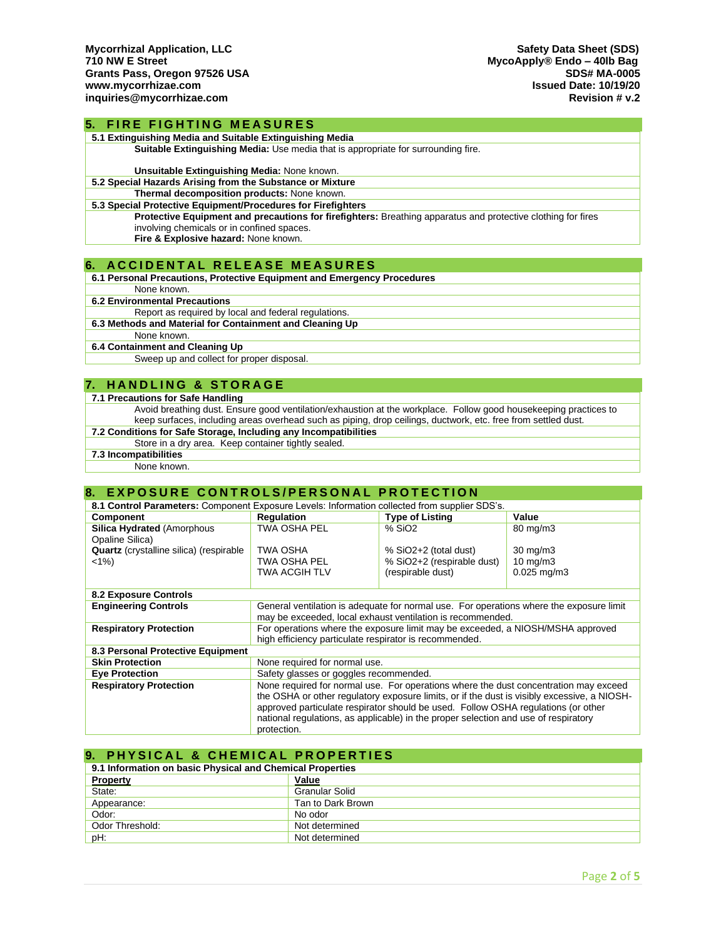**5. FIRE FIGHTING MEASURES** 

| 5.1 Extinguishing Media and Suitable Extinguishing Media                                                     |
|--------------------------------------------------------------------------------------------------------------|
| <b>Suitable Extinguishing Media:</b> Use media that is appropriate for surrounding fire.                     |
|                                                                                                              |
| Unsuitable Extinguishing Media: None known.                                                                  |
| 5.2 Special Hazards Arising from the Substance or Mixture                                                    |
| Thermal decomposition products: None known.                                                                  |
| 5.3 Special Protective Equipment/Procedures for Firefighters                                                 |
| Protective Equipment and precautions for firefighters: Breathing apparatus and protective clothing for fires |
| involving chemicals or in confined spaces.                                                                   |
| Fire & Explosive hazard: None known.                                                                         |
|                                                                                                              |
| <b>ACCIDENTAL RELEASE MEASURES</b>                                                                           |
| 6.1 Personal Precautions, Protective Equipment and Emergency Procedures                                      |

None known.

**6.2 Environmental Precautions**

Report as required by local and federal regulations.

**6.3 Methods and Material for Containment and Cleaning Up**

None known.

**6.4 Containment and Cleaning Up**

Sweep up and collect for proper disposal.

### **7. H A N D L I N G & S T O R A G E**

**7.1 Precautions for Safe Handling**

Avoid breathing dust. Ensure good ventilation/exhaustion at the workplace. Follow good housekeeping practices to keep surfaces, including areas overhead such as piping, drop ceilings, ductwork, etc. free from settled dust.

**7.2 Conditions for Safe Storage, Including any Incompatibilities**

- Store in a dry area. Keep container tightly sealed.
- **7.3 Incompatibilities**

None known.

### **8. EXPOSURE CONTROLS/PERSONAL PROTECTION**

| 8.1 Control Parameters: Component Exposure Levels: Information collected from supplier SDS's. |                                                                                                                                                                                                                                                                                                                                                                                |                            |                     |
|-----------------------------------------------------------------------------------------------|--------------------------------------------------------------------------------------------------------------------------------------------------------------------------------------------------------------------------------------------------------------------------------------------------------------------------------------------------------------------------------|----------------------------|---------------------|
| <b>Component</b>                                                                              | <b>Regulation</b>                                                                                                                                                                                                                                                                                                                                                              | <b>Type of Listing</b>     | Value               |
| <b>Silica Hydrated (Amorphous)</b><br>Opaline Silica)                                         | <b>TWA OSHA PEL</b>                                                                                                                                                                                                                                                                                                                                                            | % SiO <sub>2</sub>         | $80 \text{ mg/m}$ 3 |
| <b>Quartz</b> (crystalline silica) (respirable                                                | TWA OSHA                                                                                                                                                                                                                                                                                                                                                                       | % SiO2+2 (total dust)      | $30 \text{ mg/m}$   |
| $<1\%$                                                                                        | TWA OSHA PEL                                                                                                                                                                                                                                                                                                                                                                   | % SiO2+2 (respirable dust) | $10 \text{ mg/m}$   |
|                                                                                               | TWA ACGIH TLV                                                                                                                                                                                                                                                                                                                                                                  | (respirable dust)          | $0.025$ mg/m $3$    |
|                                                                                               |                                                                                                                                                                                                                                                                                                                                                                                |                            |                     |
| <b>8.2 Exposure Controls</b>                                                                  |                                                                                                                                                                                                                                                                                                                                                                                |                            |                     |
| <b>Engineering Controls</b>                                                                   | General ventilation is adequate for normal use. For operations where the exposure limit<br>may be exceeded, local exhaust ventilation is recommended.                                                                                                                                                                                                                          |                            |                     |
| <b>Respiratory Protection</b>                                                                 | For operations where the exposure limit may be exceeded, a NIOSH/MSHA approved<br>high efficiency particulate respirator is recommended.                                                                                                                                                                                                                                       |                            |                     |
| 8.3 Personal Protective Equipment                                                             |                                                                                                                                                                                                                                                                                                                                                                                |                            |                     |
| <b>Skin Protection</b>                                                                        | None required for normal use.                                                                                                                                                                                                                                                                                                                                                  |                            |                     |
| <b>Eye Protection</b>                                                                         | Safety glasses or goggles recommended.                                                                                                                                                                                                                                                                                                                                         |                            |                     |
| <b>Respiratory Protection</b>                                                                 | None required for normal use. For operations where the dust concentration may exceed<br>the OSHA or other regulatory exposure limits, or if the dust is visibly excessive, a NIOSH-<br>approved particulate respirator should be used. Follow OSHA regulations (or other<br>national regulations, as applicable) in the proper selection and use of respiratory<br>protection. |                            |                     |

#### **9. PHYSICAL & CHEMICAL PROPERTIES**

| 9.1 Information on basic Physical and Chemical Properties |                   |  |
|-----------------------------------------------------------|-------------------|--|
| <b>Property</b>                                           | Value             |  |
| State:                                                    | Granular Solid    |  |
| Appearance:                                               | Tan to Dark Brown |  |
| Odor:                                                     | No odor           |  |
| Odor Threshold:                                           | Not determined    |  |
| pH:                                                       | Not determined    |  |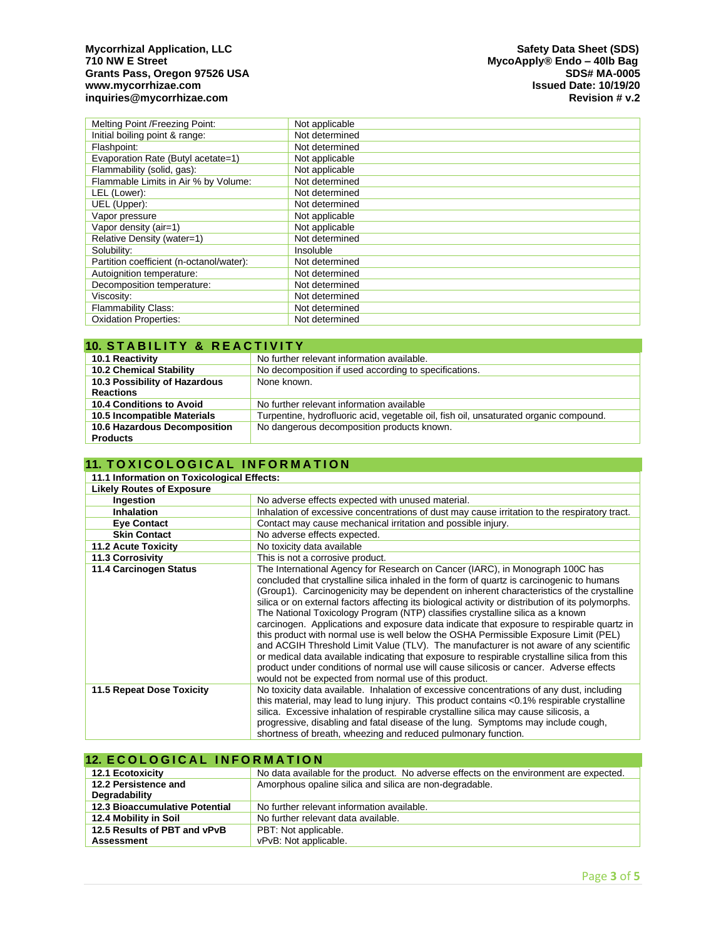## Mycorrhizal Application, LLC **Sheet (SDS)**<br>T10 NW E Street Superintensity of the Street Superintensity of the Street Superintensity of the MycoApply® Endo Grants Pass, Oregon 97526 USA المستخدم المستخدم المستخدم المستخدم المستخدم المستخدم المستخدم المستخدم المستخدم<br>Issued Date: 10/19/20 **[www.mycorrhizae.com](http://www.mycorrhizae.com/) Issued Date: 10/19/20 [inquiries@mycorrhizae.com](mailto:inquiries@mycorrhizae.com) Revision # v.2**

| Melting Point / Freezing Point:          | Not applicable |
|------------------------------------------|----------------|
| Initial boiling point & range:           | Not determined |
| Flashpoint:                              | Not determined |
| Evaporation Rate (Butyl acetate=1)       | Not applicable |
| Flammability (solid, gas):               | Not applicable |
| Flammable Limits in Air % by Volume:     | Not determined |
| LEL (Lower):                             | Not determined |
| UEL (Upper):                             | Not determined |
| Vapor pressure                           | Not applicable |
| Vapor density (air=1)                    | Not applicable |
| Relative Density (water=1)               | Not determined |
| Solubility:                              | Insoluble      |
| Partition coefficient (n-octanol/water): | Not determined |
| Autoignition temperature:                | Not determined |
| Decomposition temperature:               | Not determined |
| Viscosity:                               | Not determined |
| <b>Flammability Class:</b>               | Not determined |
| <b>Oxidation Properties:</b>             | Not determined |

| <b>10. STABILITY &amp; REACTIVITY</b> |                                                                                       |  |
|---------------------------------------|---------------------------------------------------------------------------------------|--|
| 10.1 Reactivity                       | No further relevant information available.                                            |  |
| <b>10.2 Chemical Stability</b>        | No decomposition if used according to specifications.                                 |  |
| 10.3 Possibility of Hazardous         | None known.                                                                           |  |
| <b>Reactions</b>                      |                                                                                       |  |
| 10.4 Conditions to Avoid              | No further relevant information available                                             |  |
| 10.5 Incompatible Materials           | Turpentine, hydrofluoric acid, vegetable oil, fish oil, unsaturated organic compound. |  |
| 10.6 Hazardous Decomposition          | No dangerous decomposition products known.                                            |  |
| <b>Products</b>                       |                                                                                       |  |

## **11. TOXICOLOGICAL INFORMATION**

| 11.1 Information on Toxicological Effects: |                                                                                                                                                                                                                                                                                                                                                                                                                                                                                                                                                                                                                                                                                                                                                                                                                                                                                                                                                                                                     |  |
|--------------------------------------------|-----------------------------------------------------------------------------------------------------------------------------------------------------------------------------------------------------------------------------------------------------------------------------------------------------------------------------------------------------------------------------------------------------------------------------------------------------------------------------------------------------------------------------------------------------------------------------------------------------------------------------------------------------------------------------------------------------------------------------------------------------------------------------------------------------------------------------------------------------------------------------------------------------------------------------------------------------------------------------------------------------|--|
| <b>Likely Routes of Exposure</b>           |                                                                                                                                                                                                                                                                                                                                                                                                                                                                                                                                                                                                                                                                                                                                                                                                                                                                                                                                                                                                     |  |
| Ingestion                                  | No adverse effects expected with unused material.                                                                                                                                                                                                                                                                                                                                                                                                                                                                                                                                                                                                                                                                                                                                                                                                                                                                                                                                                   |  |
| <b>Inhalation</b>                          | Inhalation of excessive concentrations of dust may cause irritation to the respiratory tract.                                                                                                                                                                                                                                                                                                                                                                                                                                                                                                                                                                                                                                                                                                                                                                                                                                                                                                       |  |
| <b>Eye Contact</b>                         | Contact may cause mechanical irritation and possible injury.                                                                                                                                                                                                                                                                                                                                                                                                                                                                                                                                                                                                                                                                                                                                                                                                                                                                                                                                        |  |
| <b>Skin Contact</b>                        | No adverse effects expected.                                                                                                                                                                                                                                                                                                                                                                                                                                                                                                                                                                                                                                                                                                                                                                                                                                                                                                                                                                        |  |
| <b>11.2 Acute Toxicity</b>                 | No toxicity data available                                                                                                                                                                                                                                                                                                                                                                                                                                                                                                                                                                                                                                                                                                                                                                                                                                                                                                                                                                          |  |
| 11.3 Corrosivity                           | This is not a corrosive product.                                                                                                                                                                                                                                                                                                                                                                                                                                                                                                                                                                                                                                                                                                                                                                                                                                                                                                                                                                    |  |
| 11.4 Carcinogen Status                     | The International Agency for Research on Cancer (IARC), in Monograph 100C has<br>concluded that crystalline silica inhaled in the form of quartz is carcinogenic to humans<br>(Group1). Carcinogenicity may be dependent on inherent characteristics of the crystalline<br>silica or on external factors affecting its biological activity or distribution of its polymorphs.<br>The National Toxicology Program (NTP) classifies crystalline silica as a known<br>carcinogen. Applications and exposure data indicate that exposure to respirable quartz in<br>this product with normal use is well below the OSHA Permissible Exposure Limit (PEL)<br>and ACGIH Threshold Limit Value (TLV). The manufacturer is not aware of any scientific<br>or medical data available indicating that exposure to respirable crystalline silica from this<br>product under conditions of normal use will cause silicosis or cancer. Adverse effects<br>would not be expected from normal use of this product. |  |
| 11.5 Repeat Dose Toxicity                  | No toxicity data available. Inhalation of excessive concentrations of any dust, including<br>this material, may lead to lung injury. This product contains <0.1% respirable crystalline<br>silica. Excessive inhalation of respirable crystalline silica may cause silicosis, a<br>progressive, disabling and fatal disease of the lung. Symptoms may include cough,<br>shortness of breath, wheezing and reduced pulmonary function.                                                                                                                                                                                                                                                                                                                                                                                                                                                                                                                                                               |  |

### **12. ECOLOGICAL INFORMATION**

| <b>12.1 Ecotoxicity</b>               | No data available for the product. No adverse effects on the environment are expected. |
|---------------------------------------|----------------------------------------------------------------------------------------|
| 12.2 Persistence and                  | Amorphous opaline silica and silica are non-degradable.                                |
| Degradability                         |                                                                                        |
| <b>12.3 Bioaccumulative Potential</b> | No further relevant information available.                                             |
| 12.4 Mobility in Soil                 | No further relevant data available.                                                    |
| 12.5 Results of PBT and vPvB          | PBT: Not applicable.                                                                   |
| <b>Assessment</b>                     | vPvB: Not applicable.                                                                  |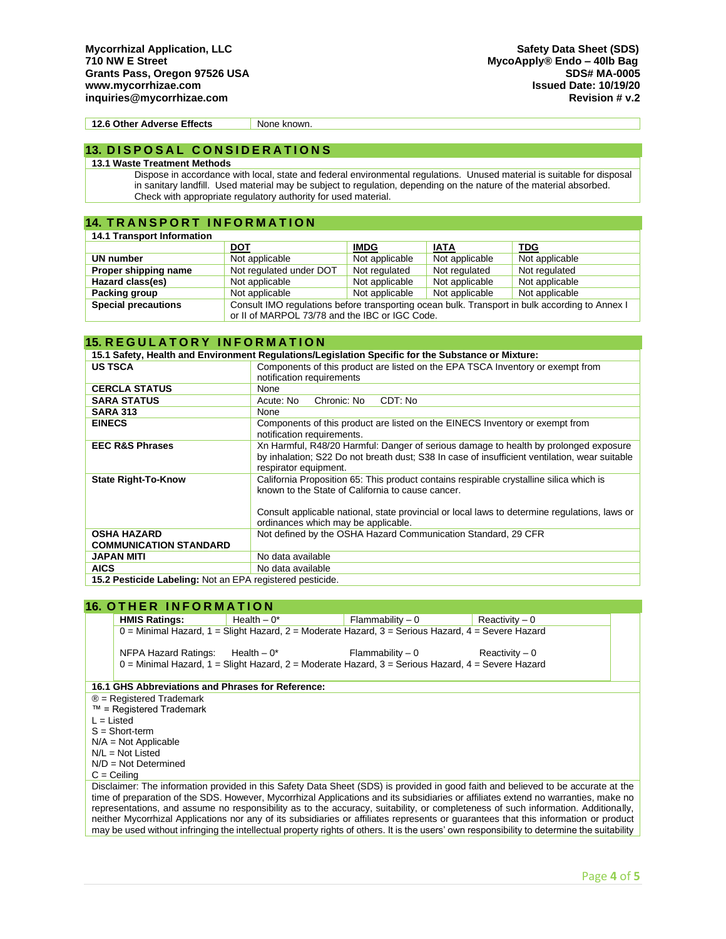**12.6 Other Adverse Effects** None known.

## **13. D I S P O S A L C O N S I D E R A T I O N S**

### **13.1 Waste Treatment Methods**

Dispose in accordance with local, state and federal environmental regulations. Unused material is suitable for disposal in sanitary landfill. Used material may be subject to regulation, depending on the nature of the material absorbed. Check with appropriate regulatory authority for used material.

## **14. TRANSPORT INFORMATION**

| <b>14.1 Transport Information</b> |                                                                                                |                |                |                |
|-----------------------------------|------------------------------------------------------------------------------------------------|----------------|----------------|----------------|
|                                   | <b>DOT</b>                                                                                     | <b>IMDG</b>    | <b>IATA</b>    | TDG            |
| UN number                         | Not applicable                                                                                 | Not applicable | Not applicable | Not applicable |
| Proper shipping name              | Not regulated under DOT                                                                        | Not regulated  | Not regulated  | Not regulated  |
| Hazard class(es)                  | Not applicable                                                                                 | Not applicable | Not applicable | Not applicable |
| Packing group                     | Not applicable                                                                                 | Not applicable | Not applicable | Not applicable |
| <b>Special precautions</b>        | Consult IMO regulations before transporting ocean bulk. Transport in bulk according to Annex I |                |                |                |
|                                   | or II of MARPOL 73/78 and the IBC or IGC Code.                                                 |                |                |                |

## **15. R E G U L A T O R Y I N F O R M A T I O N**

| 15.1 Safety, Health and Environment Regulations/Legislation Specific for the Substance or Mixture: |                                                                                               |  |
|----------------------------------------------------------------------------------------------------|-----------------------------------------------------------------------------------------------|--|
| <b>US TSCA</b>                                                                                     | Components of this product are listed on the EPA TSCA Inventory or exempt from                |  |
|                                                                                                    | notification requirements                                                                     |  |
| <b>CERCLA STATUS</b>                                                                               | None                                                                                          |  |
| <b>SARA STATUS</b>                                                                                 | Chronic: No<br>CDT: No<br>Acute: No                                                           |  |
| <b>SARA 313</b>                                                                                    | None                                                                                          |  |
| <b>EINECS</b>                                                                                      | Components of this product are listed on the EINECS Inventory or exempt from                  |  |
|                                                                                                    | notification requirements.                                                                    |  |
| <b>EEC R&amp;S Phrases</b>                                                                         | Xn Harmful, R48/20 Harmful: Danger of serious damage to health by prolonged exposure          |  |
|                                                                                                    | by inhalation; S22 Do not breath dust; S38 In case of insufficient ventilation, wear suitable |  |
|                                                                                                    | respirator equipment.                                                                         |  |
| <b>State Right-To-Know</b>                                                                         | California Proposition 65: This product contains respirable crystalline silica which is       |  |
|                                                                                                    | known to the State of California to cause cancer.                                             |  |
|                                                                                                    |                                                                                               |  |
|                                                                                                    | Consult applicable national, state provincial or local laws to determine regulations, laws or |  |
|                                                                                                    | ordinances which may be applicable.                                                           |  |
| <b>OSHA HAZARD</b>                                                                                 | Not defined by the OSHA Hazard Communication Standard, 29 CFR                                 |  |
| <b>COMMUNICATION STANDARD</b>                                                                      |                                                                                               |  |
| <b>JAPAN MITI</b>                                                                                  | No data available                                                                             |  |
| <b>AICS</b>                                                                                        | No data available                                                                             |  |
| 15.2 Pesticide Labeling: Not an EPA registered pesticide.                                          |                                                                                               |  |

## **16. OTHER INFORMATION**

|                                                                                                                                             | <b>HMIS Ratings:</b>                                                                                | Health $-0^*$                      | Flammability – 0                                                                                    | $Reactivity - 0$ |  |  |
|---------------------------------------------------------------------------------------------------------------------------------------------|-----------------------------------------------------------------------------------------------------|------------------------------------|-----------------------------------------------------------------------------------------------------|------------------|--|--|
|                                                                                                                                             | $0 =$ Minimal Hazard, 1 = Slight Hazard, 2 = Moderate Hazard, 3 = Serious Hazard, 4 = Severe Hazard |                                    |                                                                                                     |                  |  |  |
|                                                                                                                                             |                                                                                                     |                                    |                                                                                                     |                  |  |  |
|                                                                                                                                             |                                                                                                     | NFPA Hazard Ratings: Health $-0^*$ | $Flammability - 0$ Reactivity $-0$                                                                  |                  |  |  |
|                                                                                                                                             |                                                                                                     |                                    | $0 =$ Minimal Hazard, 1 = Slight Hazard, 2 = Moderate Hazard, 3 = Serious Hazard, 4 = Severe Hazard |                  |  |  |
|                                                                                                                                             |                                                                                                     |                                    |                                                                                                     |                  |  |  |
| 16.1 GHS Abbreviations and Phrases for Reference:                                                                                           |                                                                                                     |                                    |                                                                                                     |                  |  |  |
| $\circledR$ = Registered Trademark                                                                                                          |                                                                                                     |                                    |                                                                                                     |                  |  |  |
| $™$ = Registered Trademark                                                                                                                  |                                                                                                     |                                    |                                                                                                     |                  |  |  |
| $L = Listed$                                                                                                                                |                                                                                                     |                                    |                                                                                                     |                  |  |  |
| $S = Short-term$                                                                                                                            |                                                                                                     |                                    |                                                                                                     |                  |  |  |
| $N/A = Not Applicable$                                                                                                                      |                                                                                                     |                                    |                                                                                                     |                  |  |  |
| $N/L = Not$ Listed                                                                                                                          |                                                                                                     |                                    |                                                                                                     |                  |  |  |
| $N/D = Not Determined$                                                                                                                      |                                                                                                     |                                    |                                                                                                     |                  |  |  |
| $C =$ Ceiling                                                                                                                               |                                                                                                     |                                    |                                                                                                     |                  |  |  |
| Disclaimer: The information provided in this Safety Data Sheet (SDS) is provided in good faith and believed to be accurate at the           |                                                                                                     |                                    |                                                                                                     |                  |  |  |
| time of preparation of the SDS. However, Mycorrhizal Applications and its subsidiaries or affiliates extend no warranties, make no          |                                                                                                     |                                    |                                                                                                     |                  |  |  |
| representations, and assume no responsibility as to the accuracy, suitability, or completeness of such information. Additionally,           |                                                                                                     |                                    |                                                                                                     |                  |  |  |
| neither Mycorrhizal Applications nor any of its subsidiaries or affiliates represents or quarantees that this information or product        |                                                                                                     |                                    |                                                                                                     |                  |  |  |
| may be used without infringing the intellectual property rights of others. It is the users' own responsibility to determine the suitability |                                                                                                     |                                    |                                                                                                     |                  |  |  |